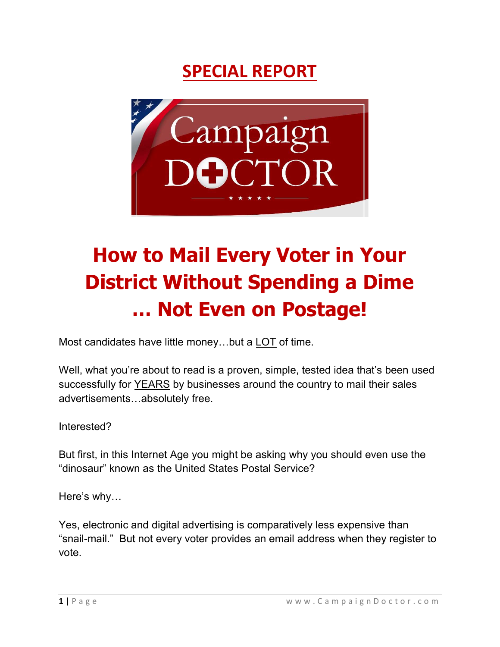# SPECIAL REPORT



# How to Mail Every Voter in Your District Without Spending a Dime … Not Even on Postage!

Most candidates have little money…but a LOT of time.

Well, what you're about to read is a proven, simple, tested idea that's been used successfully for YEARS by businesses around the country to mail their sales advertisements…absolutely free.

Interested?

But first, in this Internet Age you might be asking why you should even use the "dinosaur" known as the United States Postal Service?

Here's why…

Yes, electronic and digital advertising is comparatively less expensive than "snail-mail." But not every voter provides an email address when they register to vote.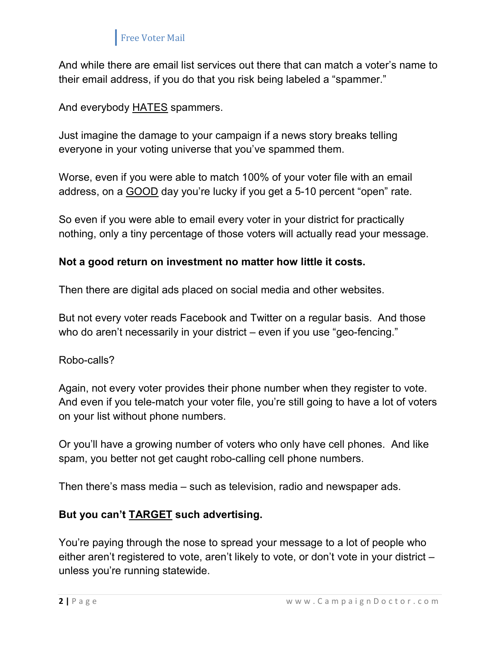And while there are email list services out there that can match a voter's name to their email address, if you do that you risk being labeled a "spammer."

And everybody HATES spammers.

Just imagine the damage to your campaign if a news story breaks telling everyone in your voting universe that you've spammed them.

Worse, even if you were able to match 100% of your voter file with an email address, on a GOOD day you're lucky if you get a 5-10 percent "open" rate.

So even if you were able to email every voter in your district for practically nothing, only a tiny percentage of those voters will actually read your message.

#### Not a good return on investment no matter how little it costs.

Then there are digital ads placed on social media and other websites.

But not every voter reads Facebook and Twitter on a regular basis. And those who do aren't necessarily in your district – even if you use "geo-fencing."

#### Robo-calls?

Again, not every voter provides their phone number when they register to vote. And even if you tele-match your voter file, you're still going to have a lot of voters on your list without phone numbers.

Or you'll have a growing number of voters who only have cell phones. And like spam, you better not get caught robo-calling cell phone numbers.

Then there's mass media – such as television, radio and newspaper ads.

#### But you can't TARGET such advertising.

You're paying through the nose to spread your message to a lot of people who either aren't registered to vote, aren't likely to vote, or don't vote in your district – unless you're running statewide.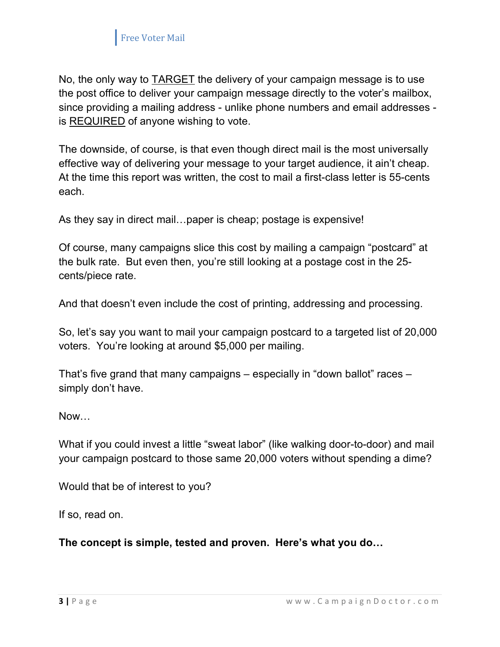

No, the only way to TARGET the delivery of your campaign message is to use the post office to deliver your campaign message directly to the voter's mailbox, since providing a mailing address - unlike phone numbers and email addresses is REQUIRED of anyone wishing to vote.

The downside, of course, is that even though direct mail is the most universally effective way of delivering your message to your target audience, it ain't cheap. At the time this report was written, the cost to mail a first-class letter is 55-cents each.

As they say in direct mail…paper is cheap; postage is expensive!

Of course, many campaigns slice this cost by mailing a campaign "postcard" at the bulk rate. But even then, you're still looking at a postage cost in the 25 cents/piece rate.

And that doesn't even include the cost of printing, addressing and processing.

So, let's say you want to mail your campaign postcard to a targeted list of 20,000 voters. You're looking at around \$5,000 per mailing.

That's five grand that many campaigns – especially in "down ballot" races – simply don't have.

Now…

What if you could invest a little "sweat labor" (like walking door-to-door) and mail your campaign postcard to those same 20,000 voters without spending a dime?

Would that be of interest to you?

If so, read on.

The concept is simple, tested and proven. Here's what you do…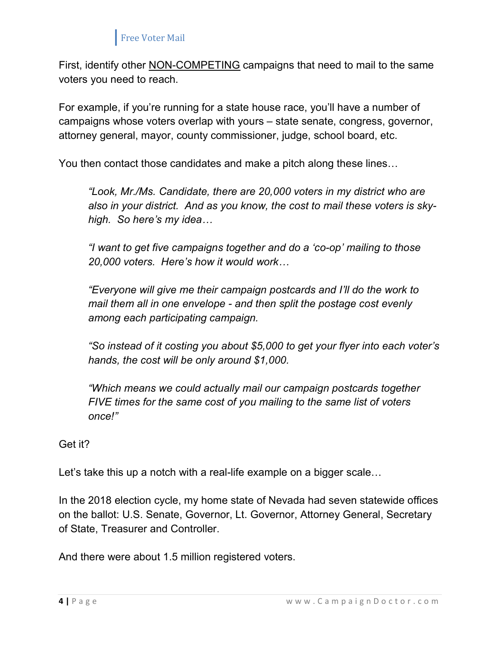First, identify other NON-COMPETING campaigns that need to mail to the same voters you need to reach.

For example, if you're running for a state house race, you'll have a number of campaigns whose voters overlap with yours – state senate, congress, governor, attorney general, mayor, county commissioner, judge, school board, etc.

You then contact those candidates and make a pitch along these lines…

"Look, Mr./Ms. Candidate, there are 20,000 voters in my district who are also in your district. And as you know, the cost to mail these voters is skyhigh. So here's my idea…

"I want to get five campaigns together and do a 'co-op' mailing to those 20,000 voters. Here's how it would work…

"Everyone will give me their campaign postcards and I'll do the work to mail them all in one envelope - and then split the postage cost evenly among each participating campaign.

"So instead of it costing you about \$5,000 to get your flyer into each voter's hands, the cost will be only around \$1,000.

"Which means we could actually mail our campaign postcards together FIVE times for the same cost of you mailing to the same list of voters once!"

Get it?

Let's take this up a notch with a real-life example on a bigger scale…

In the 2018 election cycle, my home state of Nevada had seven statewide offices on the ballot: U.S. Senate, Governor, Lt. Governor, Attorney General, Secretary of State, Treasurer and Controller.

And there were about 1.5 million registered voters.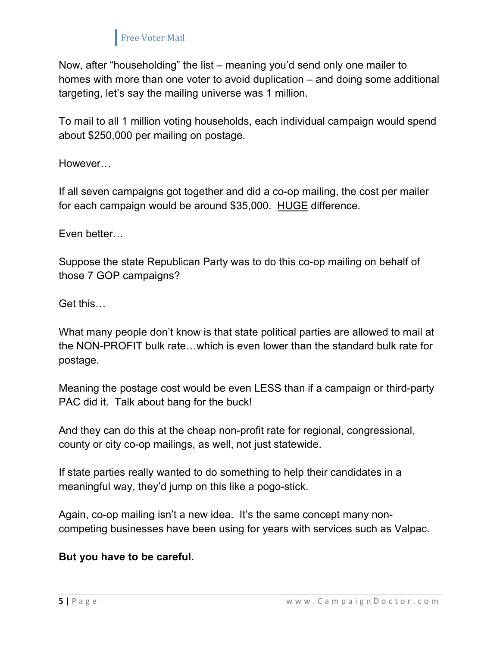Now, after "householding" the list – meaning you'd send only one mailer to homes with more than one voter to avoid duplication – and doing some additional targeting, let's say the mailing universe was 1 million.

To mail to all 1 million voting households, each individual campaign would spend about \$250,000 per mailing on postage.

However…

If all seven campaigns got together and did a co-op mailing, the cost per mailer for each campaign would be around \$35,000. HUGE difference.

Even better…

Suppose the state Republican Party was to do this co-op mailing on behalf of those 7 GOP campaigns?

Get this…

What many people don't know is that state political parties are allowed to mail at the NON-PROFIT bulk rate…which is even lower than the standard bulk rate for postage.

Meaning the postage cost would be even LESS than if a campaign or third-party PAC did it. Talk about bang for the buck!

And they can do this at the cheap non-profit rate for regional, congressional, county or city co-op mailings, as well, not just statewide.

If state parties really wanted to do something to help their candidates in a meaningful way, they'd jump on this like a pogo-stick.

Again, co-op mailing isn't a new idea. It's the same concept many noncompeting businesses have been using for years with services such as Valpac.

#### But you have to be careful.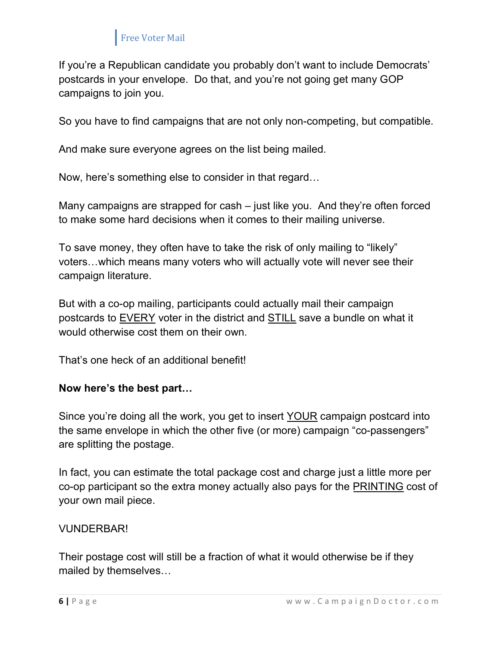If you're a Republican candidate you probably don't want to include Democrats' postcards in your envelope. Do that, and you're not going get many GOP campaigns to join you.

So you have to find campaigns that are not only non-competing, but compatible.

And make sure everyone agrees on the list being mailed.

Now, here's something else to consider in that regard…

Many campaigns are strapped for cash – just like you. And they're often forced to make some hard decisions when it comes to their mailing universe.

To save money, they often have to take the risk of only mailing to "likely" voters…which means many voters who will actually vote will never see their campaign literature.

But with a co-op mailing, participants could actually mail their campaign postcards to EVERY voter in the district and STILL save a bundle on what it would otherwise cost them on their own.

That's one heck of an additional benefit!

#### Now here's the best part…

Since you're doing all the work, you get to insert YOUR campaign postcard into the same envelope in which the other five (or more) campaign "co-passengers" are splitting the postage.

In fact, you can estimate the total package cost and charge just a little more per co-op participant so the extra money actually also pays for the PRINTING cost of your own mail piece.

#### VUNDERBAR!

Their postage cost will still be a fraction of what it would otherwise be if they mailed by themselves…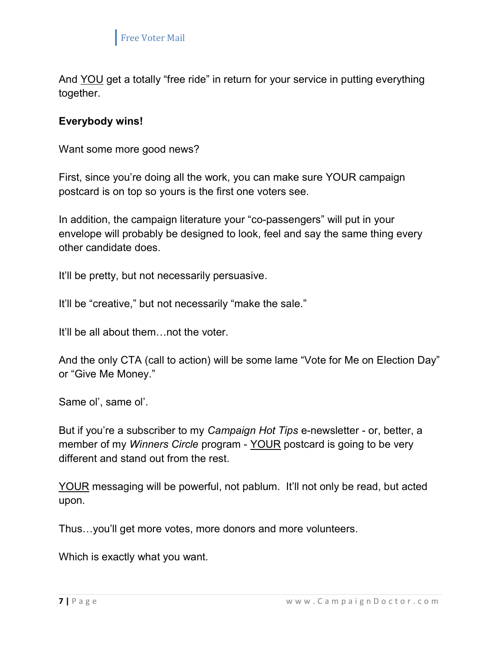

And YOU get a totally "free ride" in return for your service in putting everything together.

#### Everybody wins!

Want some more good news?

First, since you're doing all the work, you can make sure YOUR campaign postcard is on top so yours is the first one voters see.

In addition, the campaign literature your "co-passengers" will put in your envelope will probably be designed to look, feel and say the same thing every other candidate does.

It'll be pretty, but not necessarily persuasive.

It'll be "creative," but not necessarily "make the sale."

It'll be all about them…not the voter.

And the only CTA (call to action) will be some lame "Vote for Me on Election Day" or "Give Me Money."

Same ol', same ol'.

But if you're a subscriber to my *Campaign Hot Tips* e-newsletter - or, better, a member of my Winners Circle program - YOUR postcard is going to be very different and stand out from the rest.

YOUR messaging will be powerful, not pablum. It'll not only be read, but acted upon.

Thus…you'll get more votes, more donors and more volunteers.

Which is exactly what you want.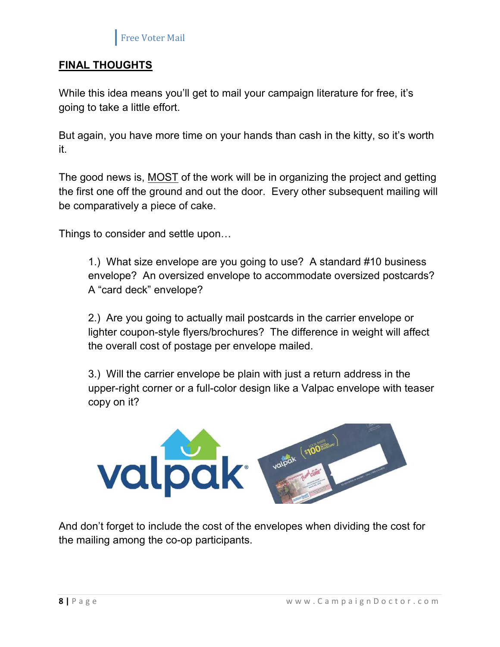

#### FINAL THOUGHTS

While this idea means you'll get to mail your campaign literature for free, it's going to take a little effort.

But again, you have more time on your hands than cash in the kitty, so it's worth it.

The good news is, MOST of the work will be in organizing the project and getting the first one off the ground and out the door. Every other subsequent mailing will be comparatively a piece of cake.

Things to consider and settle upon…

1.) What size envelope are you going to use? A standard #10 business envelope? An oversized envelope to accommodate oversized postcards? A "card deck" envelope?

2.) Are you going to actually mail postcards in the carrier envelope or lighter coupon-style flyers/brochures? The difference in weight will affect the overall cost of postage per envelope mailed.

3.) Will the carrier envelope be plain with just a return address in the upper-right corner or a full-color design like a Valpac envelope with teaser copy on it?



And don't forget to include the cost of the envelopes when dividing the cost for the mailing among the co-op participants.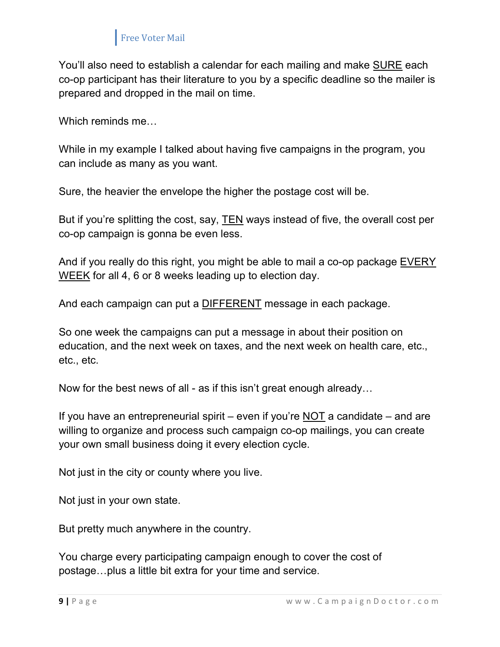You'll also need to establish a calendar for each mailing and make SURE each co-op participant has their literature to you by a specific deadline so the mailer is prepared and dropped in the mail on time.

Which reminds me…

While in my example I talked about having five campaigns in the program, you can include as many as you want.

Sure, the heavier the envelope the higher the postage cost will be.

But if you're splitting the cost, say, TEN ways instead of five, the overall cost per co-op campaign is gonna be even less.

And if you really do this right, you might be able to mail a co-op package EVERY WEEK for all 4, 6 or 8 weeks leading up to election day.

And each campaign can put a **DIFFERENT** message in each package.

So one week the campaigns can put a message in about their position on education, and the next week on taxes, and the next week on health care, etc., etc., etc.

Now for the best news of all - as if this isn't great enough already…

If you have an entrepreneurial spirit – even if you're NOT a candidate – and are willing to organize and process such campaign co-op mailings, you can create your own small business doing it every election cycle.

Not just in the city or county where you live.

Not just in your own state.

But pretty much anywhere in the country.

You charge every participating campaign enough to cover the cost of postage…plus a little bit extra for your time and service.